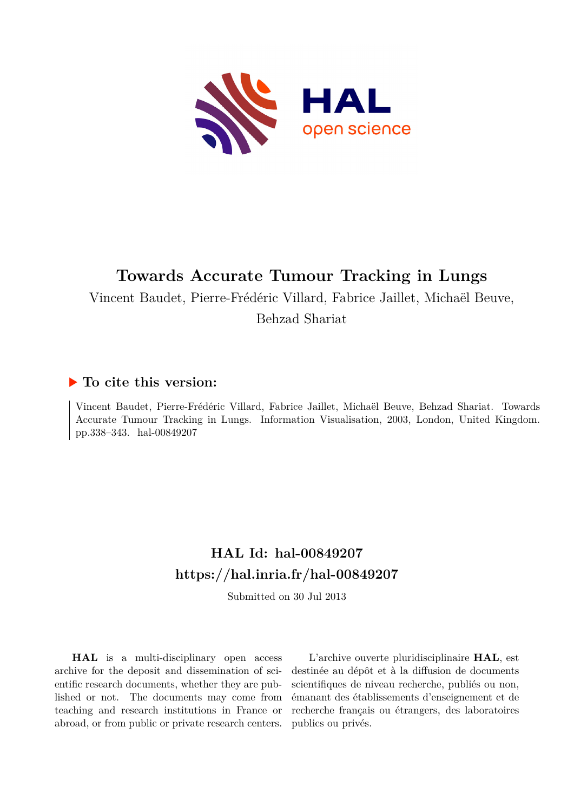

# **Towards Accurate Tumour Tracking in Lungs**

Vincent Baudet, Pierre-Frédéric Villard, Fabrice Jaillet, Michaël Beuve,

Behzad Shariat

## **To cite this version:**

Vincent Baudet, Pierre-Frédéric Villard, Fabrice Jaillet, Michaël Beuve, Behzad Shariat. Towards Accurate Tumour Tracking in Lungs. Information Visualisation, 2003, London, United Kingdom. pp.338–343. hal-00849207

# **HAL Id: hal-00849207 <https://hal.inria.fr/hal-00849207>**

Submitted on 30 Jul 2013

**HAL** is a multi-disciplinary open access archive for the deposit and dissemination of scientific research documents, whether they are published or not. The documents may come from teaching and research institutions in France or abroad, or from public or private research centers.

L'archive ouverte pluridisciplinaire **HAL**, est destinée au dépôt et à la diffusion de documents scientifiques de niveau recherche, publiés ou non, émanant des établissements d'enseignement et de recherche français ou étrangers, des laboratoires publics ou privés.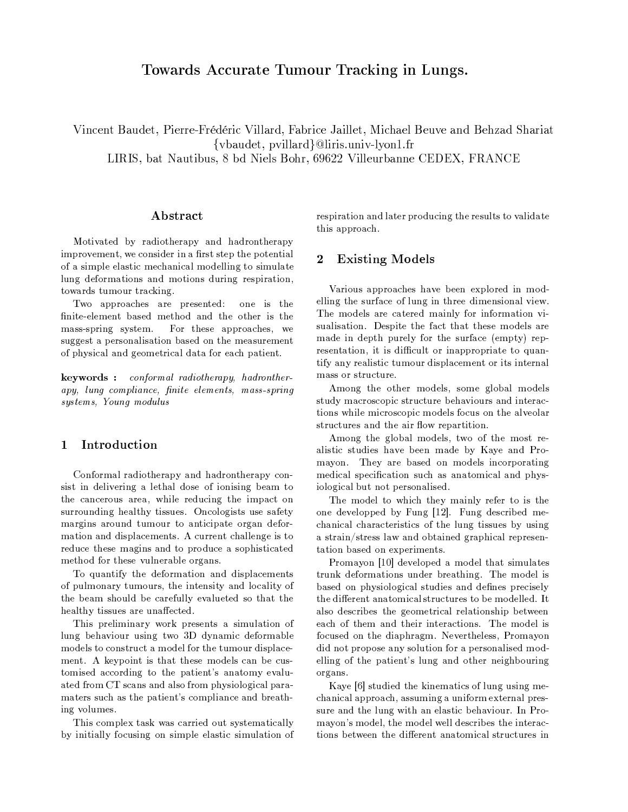## Towards Accurate Tumour Tracking in Lungs.

Vincent Baudet, Pierre-Frédéric Villard, Fabrice Jaillet, Michael Beuve and Behzad Shariat {vbaudet, pvillard}@liris.univ-lyon1.fr LIRIS, bat Nautibus, 8 bd Niels Bohr, 69622 Villeurbanne CEDEX, FRANCE

### Abstract

Motivated by radiotherapy and hadrontherapy improvement, we consider in a first step the potential of a simple elastic mechanical modelling to simulate lung deformations and motions during respiration, towards tumour tracking.

Two approaches are presented: one is the finite-element based method and the other is the For these approaches, we mass-spring system. suggest a personalisation based on the measurement of physical and geometrical data for each patient.

keywords: conformal radiotherapy, hadrontherapy, lung compliance, finite elements, mass-spring  $systems,\ Young\ modulus$ 

#### $\mathbf{1}$ Introduction

Conformal radiotherapy and hadrontherapy consist in delivering a lethal dose of ionising beam to the cancerous area, while reducing the impact on surrounding healthy tissues. Oncologists use safety margins around tumour to anticipate organ deformation and displacements. A current challenge is to reduce these magins and to produce a sophisticated method for these vulnerable organs.

To quantify the deformation and displacements of pulmonary tumours, the intensity and locality of the beam should be carefully evalueted so that the healthy tissues are unaffected.

This preliminary work presents a simulation of lung behaviour using two 3D dynamic deformable models to construct a model for the tumour displacement. A keypoint is that these models can be customised according to the patient's anatomy evaluated from CT scans and also from physiological paramaters such as the patient's compliance and breathing volumes.

This complex task was carried out systematically by initially focusing on simple elastic simulation of respiration and later producing the results to validate this approach.

#### $\overline{2}$ **Existing Models**

Various approaches have been explored in modelling the surface of lung in three dimensional view. The models are catered mainly for information visualisation. Despite the fact that these models are made in depth purely for the surface (empty) representation, it is difficult or inappropriate to quantify any realistic tumour displacement or its internal mass or structure.

Among the other models, some global models study macroscopic structure behaviours and interactions while microscopic models focus on the alveolar structures and the air flow repartition.

Among the global models, two of the most realistic studies have been made by Kaye and Promayon. They are based on models incorporating medical specification such as anatomical and physiological but not personalised.

The model to which they mainly refer to is the one developped by Fung [12]. Fung described mechanical characteristics of the lung tissues by using a strain/stress law and obtained graphical representation based on experiments.

Promayon [10] developed a model that simulates trunk deformations under breathing. The model is based on physiological studies and defines precisely the different anatomical structures to be modelled. It also describes the geometrical relationship between each of them and their interactions. The model is focused on the diaphragm. Nevertheless, Promayon did not propose any solution for a personalised modelling of the patient's lung and other neighbouring organs.

Kaye [6] studied the kinematics of lung using mechanical approach, assuming a uniform external pressure and the lung with an elastic behaviour. In Promayon's model, the model well describes the interactions between the different anatomical structures in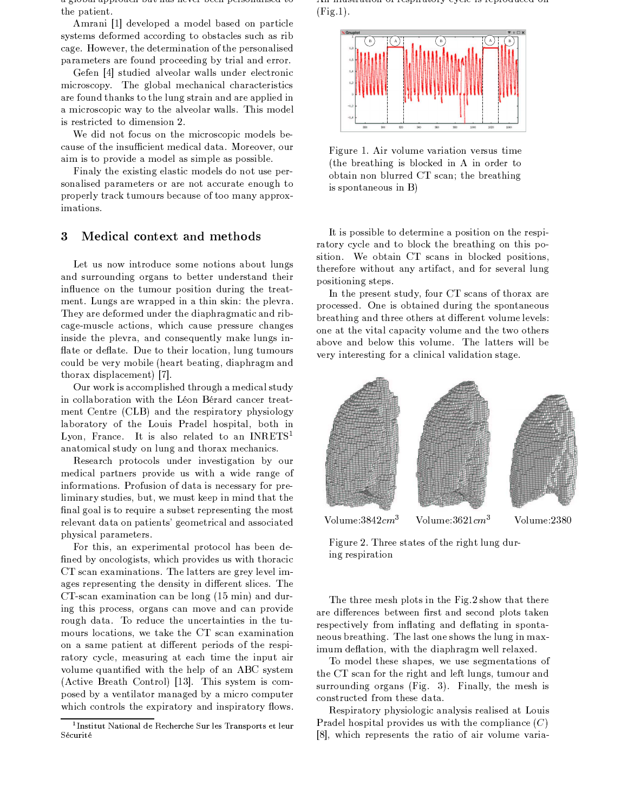a giobal approach but has hever been personalised to the patient.

Amrani [1] developed a model based on particle systems deformed according to obstacles such as rib cage. However, the determination of the personalised parameters are found proceeding by trial and error.

Gefen [4] studied alveolar walls under electronic microscopy. The global mechanical characteristics are found thanks to the lung strain and are applied in a microscopic way to the alveolar walls. This model is restricted to dimension 2.

We did not focus on the microscopic models because of the insufficient medical data. Moreover, our aim is to provide a model as simple as possible.

Finaly the existing elastic models do not use personalised parameters or are not accurate enough to properly track tumours because of too many approximations.

#### Medical context and methods 3

Let us now introduce some notions about lungs and surrounding organs to better understand their influence on the tumour position during the treatment. Lungs are wrapped in a thin skin: the plevra. They are deformed under the diaphragmatic and ribcage-muscle actions, which cause pressure changes inside the plevra, and consequently make lungs inflate or deflate. Due to their location, lung tumours could be very mobile (heart beating, diaphragm and thorax displacement) [7].

Our work is accomplished through a medical study in collaboration with the Léon Bérard cancer treatment Centre (CLB) and the respiratory physiology laboratory of the Louis Pradel hospital, both in Lyon, France. It is also related to an INRETS<sup>1</sup> anatomical study on lung and thorax mechanics.

Research protocols under investigation by our medical partners provide us with a wide range of informations. Profusion of data is necessary for preliminary studies, but, we must keep in mind that the final goal is to require a subset representing the most relevant data on patients' geometrical and associated physical parameters.

For this, an experimental protocol has been defined by oncologists, which provides us with thoracic CT scan examinations. The latters are grey level images representing the density in different slices. The CT-scan examination can be long (15 min) and during this process, organs can move and can provide rough data. To reduce the uncertainties in the tumours locations, we take the CT scan examination on a same patient at different periods of the respiratory cycle, measuring at each time the input air volume quantified with the help of an ABC system (Active Breath Control) [13]. This system is composed by a ventilator managed by a micro computer which controls the expiratory and inspiratory flows.

THE individual of respiratory eyers is reproduced on  $(Fig.1).$ 



Figure 1. Air volume variation versus time (the breathing is blocked in A in order to obtain non blurred CT scan; the breathing is spontaneous in B)

It is possible to determine a position on the respiratory cycle and to block the breathing on this position. We obtain CT scans in blocked positions, therefore without any artifact, and for several lung positioning steps.

In the present study, four CT scans of thorax are processed. One is obtained during the spontaneous breathing and three others at different volume levels: one at the vital capacity volume and the two others above and below this volume. The latters will be very interesting for a clinical validation stage.



Volume:  $3842cm^3$ Volume:  $3621 cm<sup>3</sup>$ 

Volume:2380

Figure 2. Three states of the right lung during respiration

The three mesh plots in the Fig.2 show that there are differences between first and second plots taken respectively from inflating and deflating in spontaneous breathing. The last one shows the lung in maximum deflation, with the diaphragm well relaxed.

To model these shapes, we use segmentations of the CT scan for the right and left lungs, tumour and surrounding organs (Fig. 3). Finally, the mesh is constructed from these data.

Respiratory physiologic analysis realised at Louis Pradel hospital provides us with the compliance  $(C)$ [8], which represents the ratio of air volume varia-

<sup>&</sup>lt;sup>1</sup>Institut National de Recherche Sur les Transports et leur Sécurité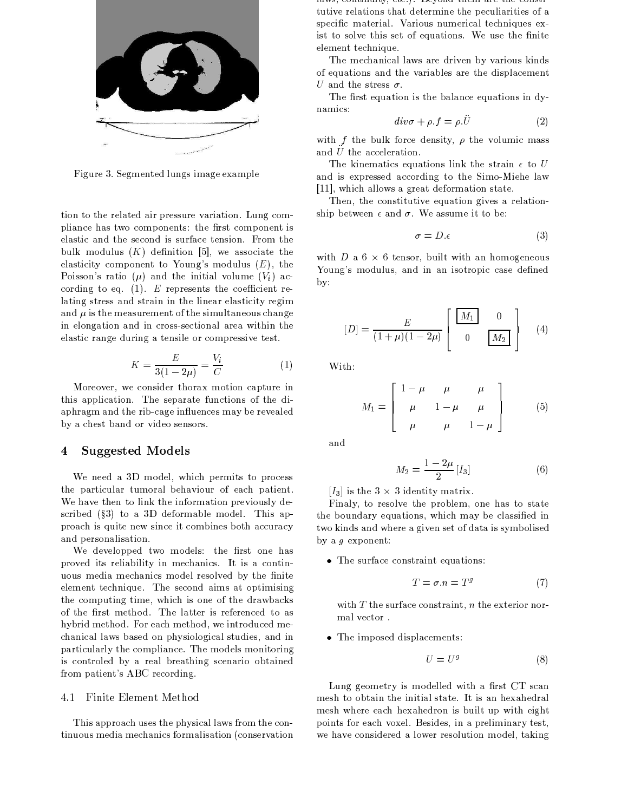

Figure 3. Segmented lungs image example

tion to the related air pressure variation. Lung compliance has two components: the first component is elastic and the second is surface tension. From the bulk modulus  $(K)$  definition [5], we associate the elasticity component to Young's modulus  $(E)$ , the Poisson's ratio  $(\mu)$  and the initial volume  $(V_i)$  according to eq. (1). E represents the coefficient relating stress and strain in the linear elasticity regim and  $\mu$  is the measurement of the simultaneous change in elongation and in cross-sectional area within the elastic range during a tensile or compressive test.

$$
K = \frac{E}{3(1 - 2\mu)} = \frac{V_i}{C}
$$
 (1)

Moreover, we consider thorax motion capture in this application. The separate functions of the diaphragm and the rib-cage influences may be revealed by a chest band or video sensors.

#### **Suggested Models** 4

We need a 3D model, which permits to process the particular tumoral behaviour of each patient. We have then to link the information previously described  $(\S3)$  to a 3D deformable model. This approach is quite new since it combines both accuracy and personalisation.

We developped two models: the first one has proved its reliability in mechanics. It is a continuous media mechanics model resolved by the finite element technique. The second aims at optimising the computing time, which is one of the drawbacks of the first method. The latter is referenced to as hybrid method. For each method, we introduced mechanical laws based on physiological studies, and in particularly the compliance. The models monitoring is controled by a real breathing scenario obtained from patient's ABC recording.

### 4.1 Finite Element Method

This approach uses the physical laws from the continuous media mechanics formalisation (conservation raws, continuity, ctc.). Deyond them are the constitutive relations that determine the peculiarities of a specific material. Various numerical techniques exist to solve this set of equations. We use the finite element technique.

The mechanical laws are driven by various kinds of equations and the variables are the displacement U and the stress  $\sigma$ .

The first equation is the balance equations in dynamics:

$$
div\sigma + \rho.f = \rho.U \tag{2}
$$

with f the bulk force density,  $\rho$  the volumic mass and  $U$  the acceleration.

The kinematics equations link the strain  $\epsilon$  to U and is expressed according to the Simo-Miehe law [11], which allows a great deformation state.

Then, the constitutive equation gives a relationship between  $\epsilon$  and  $\sigma$ . We assume it to be:

$$
\sigma = D.\epsilon \tag{3}
$$

with D a  $6 \times 6$  tensor, built with an homogeneous Young's modulus, and in an isotropic case defined  $by:$ 

$$
[D] = \frac{E}{(1+\mu)(1-2\mu)} \begin{bmatrix} M_1 & 0 \\ 0 & M_2 \end{bmatrix}
$$
 (4)

With:

$$
M_1 = \begin{bmatrix} 1 - \mu & \mu & \mu \\ \mu & 1 - \mu & \mu \\ \mu & \mu & 1 - \mu \end{bmatrix}
$$
 (5)

and

$$
M_2 = \frac{1 - 2\mu}{2} [I_3] \tag{6}
$$

[ $I_3$ ] is the 3  $\times$  3 identity matrix.

Finaly, to resolve the problem, one has to state the boundary equations, which may be classified in two kinds and where a given set of data is symbolised by a  $g$  exponent:

• The surface constraint equations:

$$
T = \sigma.n = T^g \tag{7}
$$

with  $T$  the surface constraint,  $n$  the exterior normal vector.

• The imposed displacements:

$$
U = U^g \tag{8}
$$

Lung geometry is modelled with a first CT scan mesh to obtain the initial state. It is an hexahedral mesh where each hexahedron is built up with eight points for each voxel. Besides, in a preliminary test, we have considered a lower resolution model, taking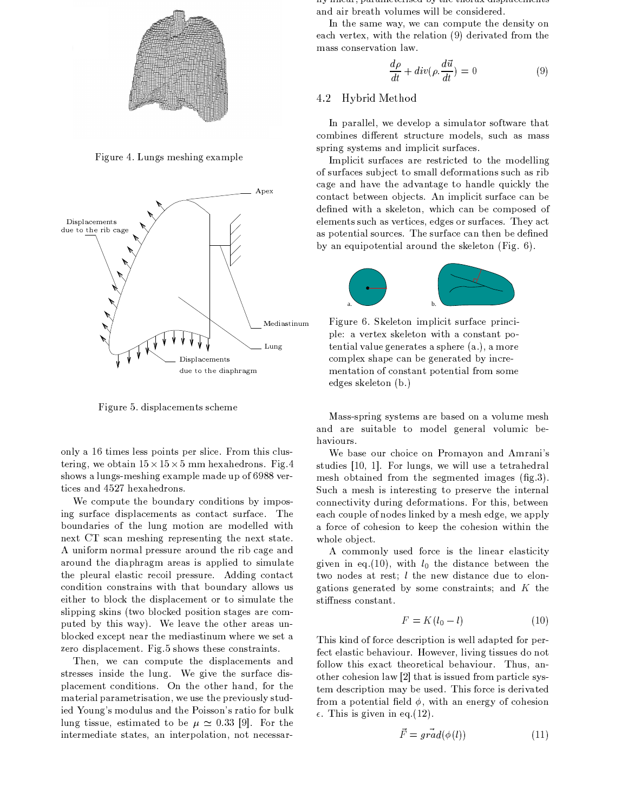

Figure 4. Lungs meshing example



Figure 5. displacements scheme

only a 16 times less points per slice. From this clustering, we obtain  $15 \times 15 \times 5$  mm hexahedrons. Fig. 4 shows a lungs-meshing example made up of 6988 vertices and 4527 hexahedrons.

We compute the boundary conditions by imposing surface displacements as contact surface. The boundaries of the lung motion are modelled with next CT scan meshing representing the next state. A uniform normal pressure around the rib cage and around the diaphragm areas is applied to simulate the pleural elastic recoil pressure. Adding contact condition constrains with that boundary allows us either to block the displacement or to simulate the slipping skins (two blocked position stages are computed by this way). We leave the other areas unblocked except near the mediastinum where we set a zero displacement. Fig.5 shows these constraints.

Then, we can compute the displacements and stresses inside the lung. We give the surface displacement conditions. On the other hand, for the material parametrisation, we use the previously studied Young's modulus and the Poisson's ratio for bulk lung tissue, estimated to be  $\mu \simeq 0.33$  [9]. For the intermediate states, an interpolation, not necessarпутнем, раганиествен бучие спотах нергассителев and air breath volumes will be considered.

In the same way, we can compute the density on each vertex, with the relation (9) derivated from the mass conservation law.

$$
\frac{d\rho}{dt} + div(\rho \cdot \frac{d\vec{u}}{dt}) = 0
$$
\n(9)

#### 4.2 Hybrid Method

In parallel, we develop a simulator software that combines different structure models, such as mass spring systems and implicit surfaces.

Implicit surfaces are restricted to the modelling of surfaces subject to small deformations such as rib cage and have the advantage to handle quickly the contact between objects. An implicit surface can be defined with a skeleton, which can be composed of elements such as vertices, edges or surfaces. They act as potential sources. The surface can then be defined by an equipotential around the skeleton (Fig. 6).



Figure 6. Skeleton implicit surface principle: a vertex skeleton with a constant potential value generates a sphere (a.), a more complex shape can be generated by incrementation of constant potential from some edges skeleton (b.)

Mass-spring systems are based on a volume mesh and are suitable to model general volumic behaviours.

We base our choice on Promayon and Amrani's studies [10, 1]. For lungs, we will use a tetrahedral mesh obtained from the segmented images (fig.3). Such a mesh is interesting to preserve the internal connectivity during deformations. For this, between each couple of nodes linked by a mesh edge, we apply a force of cohesion to keep the cohesion within the whole object.

A commonly used force is the linear elasticity given in eq. (10), with  $l_0$  the distance between the two nodes at rest; *l* the new distance due to elongations generated by some constraints; and  $K$  the stiffness constant.

$$
F = K(l_0 - l) \tag{10}
$$

This kind of force description is well adapted for perfect elastic behaviour. However, living tissues do not follow this exact theoretical behaviour. Thus, another cohesion law [2] that is issued from particle system description may be used. This force is derivated from a potential field  $\phi$ , with an energy of cohesion  $\epsilon$ . This is given in eq. (12).

$$
F = grad(\phi(l))
$$
 (11)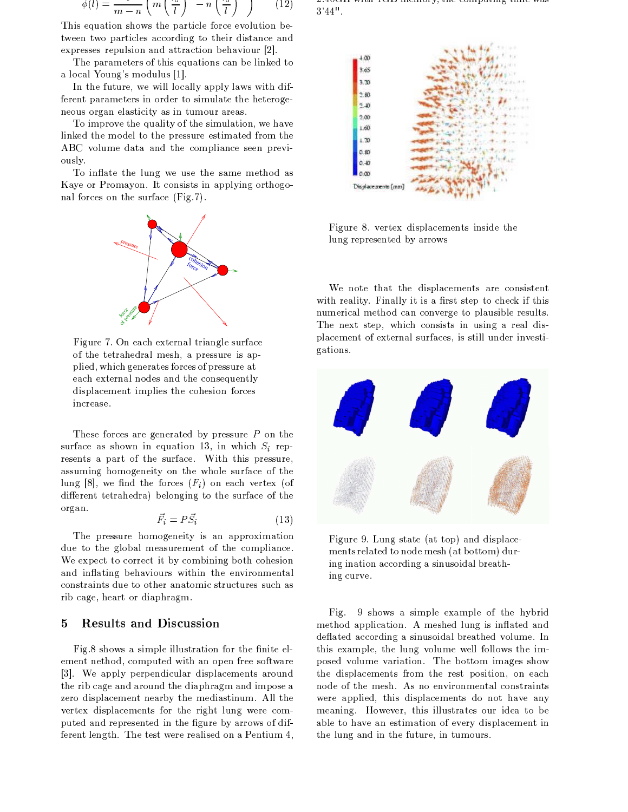$$
\phi(l) = \frac{1}{m-n} \left( m \left( \frac{\phi}{l} \right) - n \left( \frac{\phi}{l} \right) \right) \tag{12}
$$

This equation shows the particle force evolution between two particles according to their distance and expresses repulsion and attraction behaviour [2].

The parameters of this equations can be linked to a local Young's modulus [1].

In the future, we will locally apply laws with different parameters in order to simulate the heterogeneous organ elasticity as in tumour areas.

To improve the quality of the simulation, we have linked the model to the pressure estimated from the ABC volume data and the compliance seen previously.

To inflate the lung we use the same method as Kaye or Promayon. It consists in applying orthogonal forces on the surface (Fig.7).



Figure 7. On each external triangle surface of the tetrahedral mesh, a pressure is applied, which generates forces of pressure at each external nodes and the consequently displacement implies the cohesion forces increase.

These forces are generated by pressure  $P$  on the surface as shown in equation 13, in which  $S_i$  represents a part of the surface. With this pressure, assuming homogeneity on the whole surface of the lung [8], we find the forces  $(F_i)$  on each vertex (of different tetrahedra) belonging to the surface of the organ.

$$
\vec{F}_i = P\vec{S}_i \tag{13}
$$

The pressure homogeneity is an approximation due to the global measurement of the compliance. We expect to correct it by combining both cohesion and inflating behaviours within the environmental constraints due to other anatomic structures such as rib cage, heart or diaphragm.

#### **Results and Discussion** 5

Fig.8 shows a simple illustration for the finite element nethod, computed with an open free software [3]. We apply perpendicular displacements around the rib cage and around the diaphragm and impose a zero displacement nearby the mediastinum. All the vertex displacements for the right lung were computed and represented in the figure by arrows of different length. The test were realised on a Pentium 4,

2. To the whole red memory, the computing time was  $3'44"$ .



Figure 8. vertex displacements inside the lung represented by arrows

We note that the displacements are consistent with reality. Finally it is a first step to check if this numerical method can converge to plausible results. The next step, which consists in using a real displacement of external surfaces, is still under investigations.



Figure 9. Lung state (at top) and displacements related to node mesh (at bottom) during ination according a sinusoidal breathing curve.

9 shows a simple example of the hybrid Fig. method application. A meshed lung is inflated and deflated according a sinusoidal breathed volume. In this example, the lung volume well follows the imposed volume variation. The bottom images show the displacements from the rest position, on each node of the mesh. As no environmental constraints were applied, this displacements do not have any meaning. However, this illustrates our idea to be able to have an estimation of every displacement in the lung and in the future, in tumours.